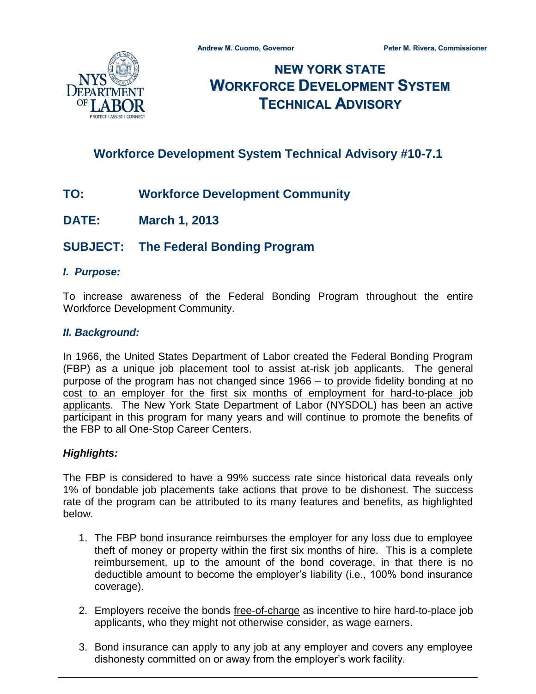

# **NEW YORK STATE WORKFORCE DEVELOPMENT SYSTEM TECHNICAL ADVISORY**

# **Workforce Development System Technical Advisory #10-7.1**

- **TO: Workforce Development Community**
- **DATE: March 1, 2013**

## **SUBJECT: The Federal Bonding Program**

#### *I. Purpose:*

To increase awareness of the Federal Bonding Program throughout the entire Workforce Development Community.

#### *II. Background:*

In 1966, the United States Department of Labor created the Federal Bonding Program (FBP) as a unique job placement tool to assist at-risk job applicants. The general purpose of the program has not changed since 1966 – to provide fidelity bonding at no cost to an employer for the first six months of employment for hard-to-place job applicants. The New York State Department of Labor (NYSDOL) has been an active participant in this program for many years and will continue to promote the benefits of the FBP to all One-Stop Career Centers.

#### *Highlights:*

The FBP is considered to have a 99% success rate since historical data reveals only 1% of bondable job placements take actions that prove to be dishonest. The success rate of the program can be attributed to its many features and benefits, as highlighted below.

- 1. The FBP bond insurance reimburses the employer for any loss due to employee theft of money or property within the first six months of hire. This is a complete reimbursement, up to the amount of the bond coverage, in that there is no deductible amount to become the employer's liability (i.e., 100% bond insurance coverage).
- 2. Employers receive the bonds free-of-charge as incentive to hire hard-to-place job applicants, who they might not otherwise consider, as wage earners.
- 3. Bond insurance can apply to any job at any employer and covers any employee dishonesty committed on or away from the employer's work facility.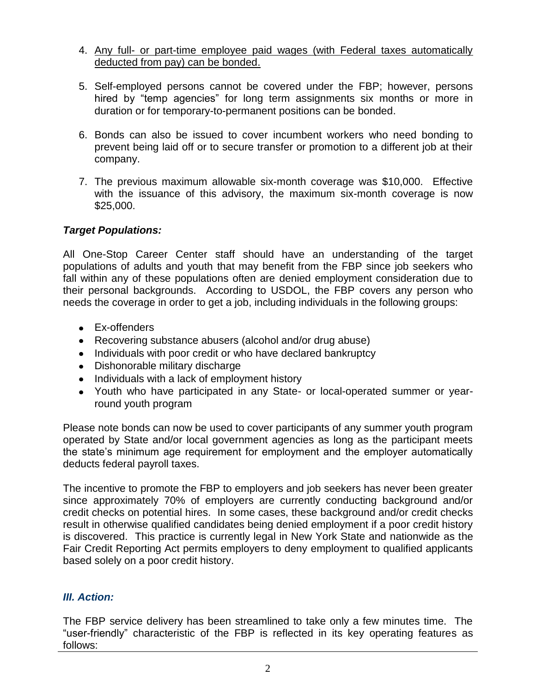- 4. Any full- or part-time employee paid wages (with Federal taxes automatically deducted from pay) can be bonded.
- 5. Self-employed persons cannot be covered under the FBP; however, persons hired by "temp agencies" for long term assignments six months or more in duration or for temporary-to-permanent positions can be bonded.
- 6. Bonds can also be issued to cover incumbent workers who need bonding to prevent being laid off or to secure transfer or promotion to a different job at their company.
- 7. The previous maximum allowable six-month coverage was \$10,000. Effective with the issuance of this advisory, the maximum six-month coverage is now \$25,000.

### *Target Populations:*

All One-Stop Career Center staff should have an understanding of the target populations of adults and youth that may benefit from the FBP since job seekers who fall within any of these populations often are denied employment consideration due to their personal backgrounds. According to USDOL, the FBP covers any person who needs the coverage in order to get a job, including individuals in the following groups:

- Ex-offenders
- Recovering substance abusers (alcohol and/or drug abuse)
- Individuals with poor credit or who have declared bankruptcy
- Dishonorable military discharge
- Individuals with a lack of employment history
- Youth who have participated in any State- or local-operated summer or yearround youth program

Please note bonds can now be used to cover participants of any summer youth program operated by State and/or local government agencies as long as the participant meets the state's minimum age requirement for employment and the employer automatically deducts federal payroll taxes.

The incentive to promote the FBP to employers and job seekers has never been greater since approximately 70% of employers are currently conducting background and/or credit checks on potential hires. In some cases, these background and/or credit checks result in otherwise qualified candidates being denied employment if a poor credit history is discovered. This practice is currently legal in New York State and nationwide as the Fair Credit Reporting Act permits employers to deny employment to qualified applicants based solely on a poor credit history.

## *III. Action:*

The FBP service delivery has been streamlined to take only a few minutes time. The "user-friendly" characteristic of the FBP is reflected in its key operating features as follows: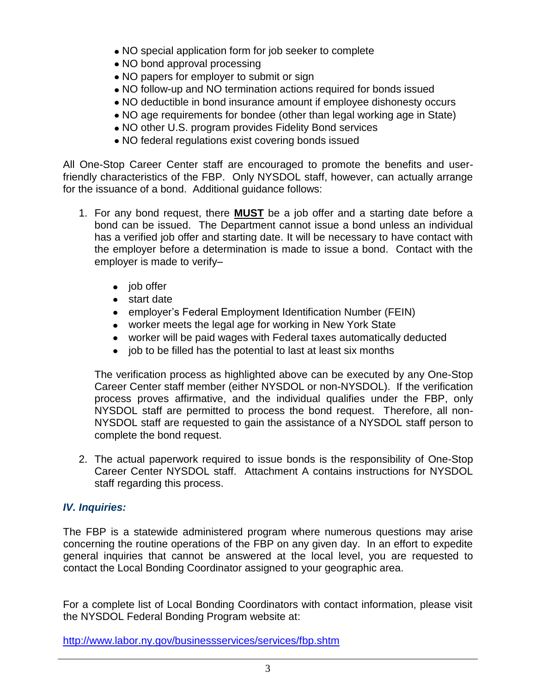- NO special application form for job seeker to complete
- NO bond approval processing
- NO papers for employer to submit or sign
- NO follow-up and NO termination actions required for bonds issued
- NO deductible in bond insurance amount if employee dishonesty occurs
- NO age requirements for bondee (other than legal working age in State)
- NO other U.S. program provides Fidelity Bond services
- NO federal regulations exist covering bonds issued

All One-Stop Career Center staff are encouraged to promote the benefits and userfriendly characteristics of the FBP. Only NYSDOL staff, however, can actually arrange for the issuance of a bond. Additional guidance follows:

- 1. For any bond request, there **MUST** be a job offer and a starting date before a bond can be issued. The Department cannot issue a bond unless an individual has a verified job offer and starting date. It will be necessary to have contact with the employer before a determination is made to issue a bond. Contact with the employer is made to verify–
	- $\bullet$  job offer
	- start date
	- employer's Federal Employment Identification Number (FEIN)
	- worker meets the legal age for working in New York State
	- worker will be paid wages with Federal taxes automatically deducted
	- job to be filled has the potential to last at least six months

The verification process as highlighted above can be executed by any One-Stop Career Center staff member (either NYSDOL or non-NYSDOL). If the verification process proves affirmative, and the individual qualifies under the FBP, only NYSDOL staff are permitted to process the bond request. Therefore, all non-NYSDOL staff are requested to gain the assistance of a NYSDOL staff person to complete the bond request.

2. The actual paperwork required to issue bonds is the responsibility of One-Stop Career Center NYSDOL staff. Attachment A contains instructions for NYSDOL staff regarding this process.

### *IV. Inquiries:*

The FBP is a statewide administered program where numerous questions may arise concerning the routine operations of the FBP on any given day. In an effort to expedite general inquiries that cannot be answered at the local level, you are requested to contact the Local Bonding Coordinator assigned to your geographic area.

For a complete list of Local Bonding Coordinators with contact information, please visit the NYSDOL Federal Bonding Program website at:

<http://www.labor.ny.gov/businessservices/services/fbp.shtm>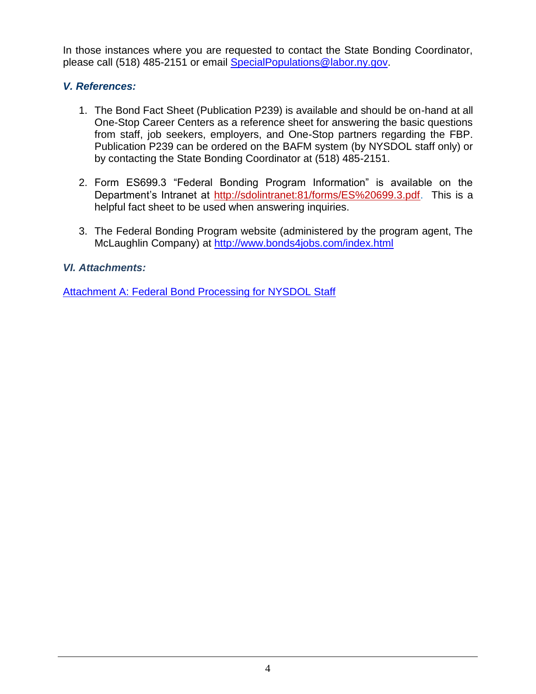In those instances where you are requested to contact the State Bonding Coordinator, please call (518) 485-2151 or email [SpecialPopulations@labor.ny.gov.](mailto:SpecialPopulations@labor.ny.gov)

## *V. References:*

- 1. The Bond Fact Sheet (Publication P239) is available and should be on-hand at all One-Stop Career Centers as a reference sheet for answering the basic questions from staff, job seekers, employers, and One-Stop partners regarding the FBP. Publication P239 can be ordered on the BAFM system (by NYSDOL staff only) or by contacting the State Bonding Coordinator at (518) 485-2151.
- 2. Form ES699.3 "Federal Bonding Program Information" is available on the Department's Intranet at [http://sdolintranet:81/forms/ES%20699.3.pdf.](http://sdolintranet:81/forms/ES%20699.3.pdf) This is a helpful fact sheet to be used when answering inquiries.
- 3. The Federal Bonding Program website (administered by the program agent, The McLaughlin Company) at<http://www.bonds4jobs.com/index.html>

## *VI. Attachments:*

**Attachment A: [Federal Bond Processing for NYSDOL Staff](http://labor.ny.gov/workforcenypartners/ta/TA10-7-1-attachment-a.pdf)**